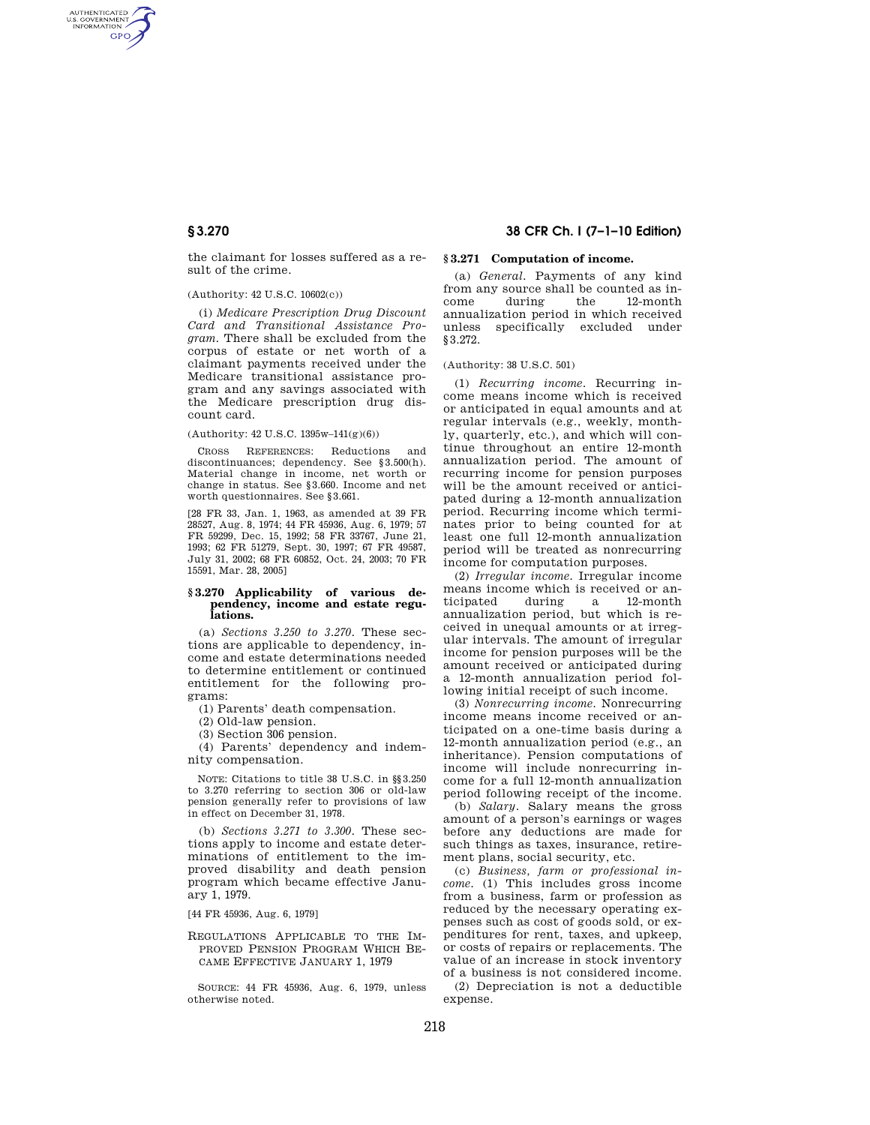AUTHENTICATED<br>U.S. GOVERNMENT<br>INFORMATION **GPO** 

> the claimant for losses suffered as a result of the crime.

## (Authority: 42 U.S.C. 10602(c))

(i) *Medicare Prescription Drug Discount Card and Transitional Assistance Program.* There shall be excluded from the corpus of estate or net worth of a claimant payments received under the Medicare transitional assistance program and any savings associated with the Medicare prescription drug discount card.

#### (Authority: 42 U.S.C. 1395w–141(g)(6))

CROSS REFERENCES: Reductions and discontinuances; dependency. See §3.500(h). Material change in income, net worth or change in status. See §3.660. Income and net worth questionnaires. See §3.661.

[28 FR 33, Jan. 1, 1963, as amended at 39 FR 28527, Aug. 8, 1974; 44 FR 45936, Aug. 6, 1979; 57 FR 59299, Dec. 15, 1992; 58 FR 33767, June 21, 1993; 62 FR 51279, Sept. 30, 1997; 67 FR 49587, July 31, 2002; 68 FR 60852, Oct. 24, 2003; 70 FR 15591, Mar. 28, 2005]

#### **§ 3.270 Applicability of various dependency, income and estate regulations.**

(a) *Sections 3.250 to 3.270.* These sections are applicable to dependency, income and estate determinations needed to determine entitlement or continued entitlement for the following programs:

(1) Parents' death compensation.

(2) Old-law pension.

(3) Section 306 pension.

(4) Parents' dependency and indemnity compensation.

NOTE: Citations to title 38 U.S.C. in §§3.250 to 3.270 referring to section 306 or old-law pension generally refer to provisions of law in effect on December 31, 1978.

(b) *Sections 3.271 to 3.300.* These sections apply to income and estate determinations of entitlement to the improved disability and death pension program which became effective January 1, 1979.

[44 FR 45936, Aug. 6, 1979]

## REGULATIONS APPLICABLE TO THE IM-PROVED PENSION PROGRAM WHICH BE-CAME EFFECTIVE JANUARY 1, 1979

SOURCE: 44 FR 45936, Aug. 6, 1979, unless otherwise noted.

# **§ 3.270 38 CFR Ch. I (7–1–10 Edition)**

## **§ 3.271 Computation of income.**

(a) *General.* Payments of any kind from any source shall be counted as income during the 12-month annualization period in which received unless specifically excluded under §3.272.

(Authority: 38 U.S.C. 501)

(1) *Recurring income.* Recurring income means income which is received or anticipated in equal amounts and at regular intervals (e.g., weekly, monthly, quarterly, etc.), and which will continue throughout an entire 12-month annualization period. The amount of recurring income for pension purposes will be the amount received or anticipated during a 12-month annualization period. Recurring income which terminates prior to being counted for at least one full 12-month annualization period will be treated as nonrecurring income for computation purposes.

(2) *Irregular income.* Irregular income means income which is received or anticipated during a 12-month annualization period, but which is received in unequal amounts or at irregular intervals. The amount of irregular income for pension purposes will be the amount received or anticipated during a 12-month annualization period following initial receipt of such income.

(3) *Nonrecurring income.* Nonrecurring income means income received or anticipated on a one-time basis during a 12-month annualization period (e.g., an inheritance). Pension computations of income will include nonrecurring income for a full 12-month annualization period following receipt of the income.

(b) *Salary.* Salary means the gross amount of a person's earnings or wages before any deductions are made for such things as taxes, insurance, retirement plans, social security, etc.

(c) *Business, farm or professional income.* (1) This includes gross income from a business, farm or profession as reduced by the necessary operating expenses such as cost of goods sold, or expenditures for rent, taxes, and upkeep, or costs of repairs or replacements. The value of an increase in stock inventory of a business is not considered income. (2) Depreciation is not a deductible expense.